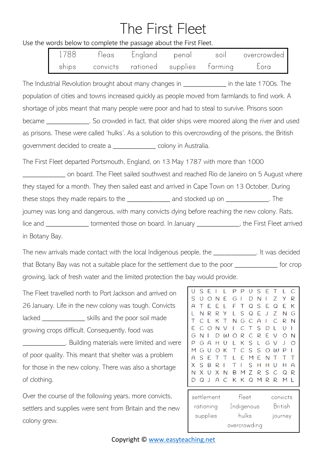## The First Fleet

Use the words below to complete the passage about the First Fleet.

| 1788  | fleas | England                            | penal | soil | overcrowded |
|-------|-------|------------------------------------|-------|------|-------------|
| ships |       | convicts rationed supplies farming |       |      | Lora        |

The Industrial Revolution brought about many changes in The Intellate 1700s. The population of cities and towns increased quickly as people moved from farmlands to find work. A shortage of jobs meant that many people were poor and had to steal to survive. Prisons soon became \_\_\_\_\_\_\_\_\_\_\_\_\_. So crowded in fact, that older ships were moored along the river and used

as prisons. These were called 'hulks'. As a solution to this overcrowding of the prisons, the British government decided to create a \_\_\_\_\_\_\_\_\_\_\_\_ colony in Australia.

The First Fleet departed Portsmouth, England, on 13 May 1787 with more than 1000 \_\_\_\_\_\_\_\_\_\_\_\_ on board. The Fleet sailed southwest and reached Rio de Janeiro on 5 August where they stayed for a month. They then sailed east and arrived in Cape Town on 13 October. During these stops they made repairs to the \_\_\_\_\_\_\_\_\_\_\_\_ and stocked up on \_\_\_\_\_\_\_\_\_\_\_\_. The journey was long and dangerous, with many convicts dying before reaching the new colony. Rats, lice and \_\_\_\_\_\_\_\_\_\_\_\_\_\_ tormented those on board. In January \_\_\_\_\_\_\_\_\_\_\_\_\_, the First Fleet arrived in Botany Bay.

The new arrivals made contact with the local Indigenous people, the The new arrivals made contact with the local Indigenous people, the that Botany Bay was not a suitable place for the settlement due to the poor \_\_\_\_\_\_\_\_\_\_\_\_ for crop growing, lack of fresh water and the limited protection the bay would provide.

The Fleet travelled north to Port Jackson and arrived on 26 January. Life in the new colony was tough. Convicts lacked skills and the poor soil made growing crops difficult. Consequently, food was **EXECUTE:** Building materials were limited and were of poor quality. This meant that shelter was a problem for those in the new colony. There was also a shortage of clothing.

Over the course of the following years, more convicts, settlers and supplies were sent from Britain and the new colony grew.

| O |           | F                         |   |                  | p |            | $\left( \ \right)$ |   | F       |                    |         |   |
|---|-----------|---------------------------|---|------------------|---|------------|--------------------|---|---------|--------------------|---------|---|
|   | S         |                           |   |                  |   |            |                    | S |         |                    |         | С |
| S |           |                           | N | F                | G |            | n                  | N | I       | Ζ                  | У       | R |
| A |           |                           | F |                  | F |            | Q                  | S | F       | Q                  | F       | К |
|   | N         | R                         | R | Y                |   | S          | Q                  | F | $\cdot$ | 7                  | N       | G |
|   | $\subset$ |                           | К | $\top$           | N | G          | $\subset$          | А |         | €.                 | R       | N |
| F | $\subset$ | ∩                         | N | V                |   |            | $\Gamma$           | S | D       |                    | ( )     | I |
| G | N         |                           | N | $(\lambda)$      | ∩ | R          | C                  | R | F       | $\setminus$        | ∩       | N |
| p | G         | $\boldsymbol{\mathsf{A}}$ | н | $\left( \right)$ |   | К          | S                  | L | G       | $\setminus$        | J       | ∩ |
| M | G         | $\left( \right)$          | ∩ | К                | Т | C.         | S                  | S | O       | $\mathfrak{u}$     | р       | I |
| А | S         | F                         |   | $\Gamma$         |   | E          | М                  | F | N       |                    |         |   |
| X | ς         | R                         | R |                  | Т | ı          | S                  | н | н       | $\left( \ \right)$ | н       | А |
| N | X         | $\left( \right)$          | X | N                | В | M          | 7                  | R | S       | C.                 | Q       | R |
|   | O         | $\cdot$                   | А | $\subset$        | К | К          | Q                  | M | R       | R                  | М       |   |
|   |           |                           |   |                  |   |            |                    |   |         |                    |         |   |
|   |           | settlement                |   |                  |   | fleet      |                    |   |         | convicts           |         |   |
|   |           | rationing                 |   |                  |   | Indigenous |                    |   |         |                    | British |   |
|   |           | supplies                  |   |                  |   | hulks      |                    |   |         |                    | journey |   |

overcrowding